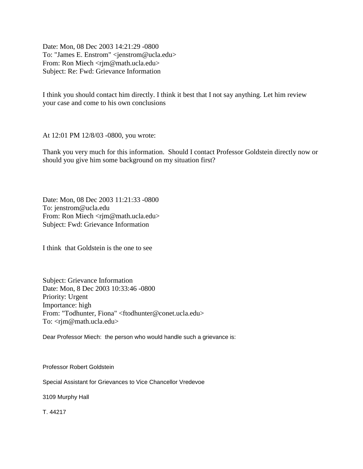Date: Mon, 08 Dec 2003 14:21:29 -0800 To: "James E. Enstrom" <jenstrom@ucla.edu> From: Ron Miech <rjm@math.ucla.edu> Subject: Re: Fwd: Grievance Information

I think you should contact him directly. I think it best that I not say anything. Let him review your case and come to his own conclusions

At 12:01 PM 12/8/03 -0800, you wrote:

Thank you very much for this information. Should I contact Professor Goldstein directly now or should you give him some background on my situation first?

Date: Mon, 08 Dec 2003 11:21:33 -0800 To: jenstrom@ucla.edu From: Ron Miech <rjm@math.ucla.edu> Subject: Fwd: Grievance Information

I think that Goldstein is the one to see

Subject: Grievance Information Date: Mon, 8 Dec 2003 10:33:46 -0800 Priority: Urgent Importance: high From: "Todhunter, Fiona" <ftodhunter@conet.ucla.edu> To: <rjm@math.ucla.edu>

Dear Professor Miech: the person who would handle such a grievance is:

Professor Robert Goldstein

Special Assistant for Grievances to Vice Chancellor Vredevoe

3109 Murphy Hall

T. 44217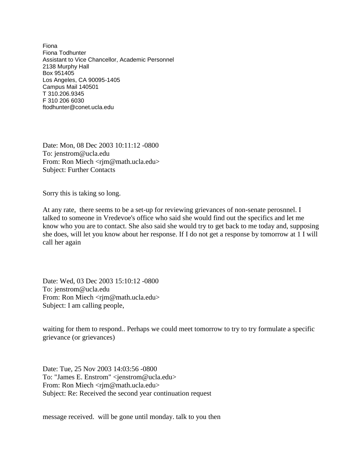Fiona Fiona Todhunter Assistant to Vice Chancellor, Academic Personnel 2138 Murphy Hall Box 951405 Los Angeles, CA 90095-1405 Campus Mail 140501 T 310.206.9345 F 310 206 6030 ftodhunter@conet.ucla.edu

Date: Mon, 08 Dec 2003 10:11:12 -0800 To: jenstrom@ucla.edu From: Ron Miech <rjm@math.ucla.edu> Subject: Further Contacts

Sorry this is taking so long.

At any rate, there seems to be a set-up for reviewing grievances of non-senate perosnnel. I talked to someone in Vredevoe's office who said she would find out the specifics and let me know who you are to contact. She also said she would try to get back to me today and, supposing she does, will let you know about her response. If I do not get a response by tomorrow at 1 I will call her again

Date: Wed, 03 Dec 2003 15:10:12 -0800 To: jenstrom@ucla.edu From: Ron Miech <rjm@math.ucla.edu> Subject: I am calling people,

waiting for them to respond.. Perhaps we could meet tomorrow to try to try formulate a specific grievance (or grievances)

Date: Tue, 25 Nov 2003 14:03:56 -0800 To: "James E. Enstrom" <jenstrom@ucla.edu> From: Ron Miech <rjm@math.ucla.edu> Subject: Re: Received the second year continuation request

message received. will be gone until monday. talk to you then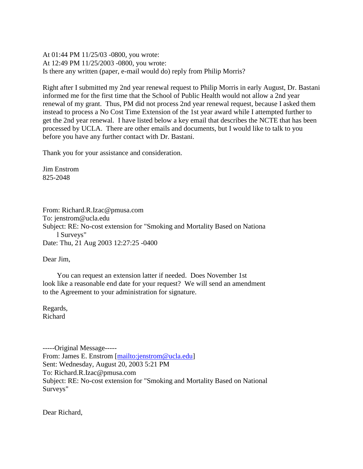At 01:44 PM 11/25/03 -0800, you wrote: At 12:49 PM 11/25/2003 -0800, you wrote: Is there any written (paper, e-mail would do) reply from Philip Morris?

Right after I submitted my 2nd year renewal request to Philip Morris in early August, Dr. Bastani informed me for the first time that the School of Public Health would not allow a 2nd year renewal of my grant. Thus, PM did not process 2nd year renewal request, because I asked them instead to process a No Cost Time Extension of the 1st year award while I attempted further to get the 2nd year renewal. I have listed below a key email that describes the NCTE that has been processed by UCLA. There are other emails and documents, but I would like to talk to you before you have any further contact with Dr. Bastani.

Thank you for your assistance and consideration.

Jim Enstrom 825-2048

From: Richard.R.Izac@pmusa.com To: jenstrom@ucla.edu Subject: RE: No-cost extension for "Smoking and Mortality Based on Nationa l Surveys" Date: Thu, 21 Aug 2003 12:27:25 -0400

Dear Jim,

 You can request an extension latter if needed. Does November 1st look like a reasonable end date for your request? We will send an amendment to the Agreement to your administration for signature.

Regards, Richard

-----Original Message----- From: James E. Enstrom [\[mailto:jenstrom@ucla.edu\]](mailto:jenstrom@ucla.edu) Sent: Wednesday, August 20, 2003 5:21 PM To: Richard.R.Izac@pmusa.com Subject: RE: No-cost extension for "Smoking and Mortality Based on National Surveys"

Dear Richard,